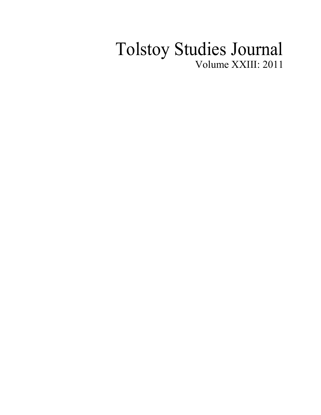## Tolstoy Studies Journal Volume XXIII: 2011